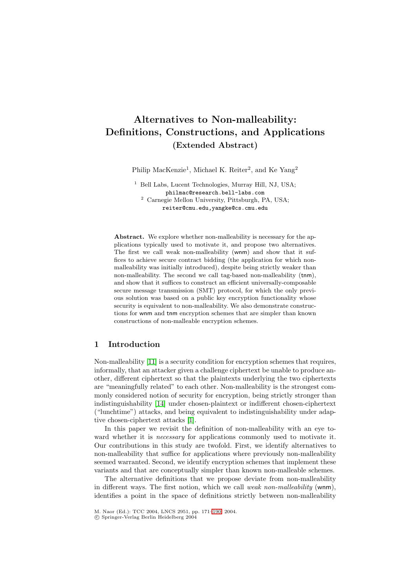# <span id="page-0-0"></span>**Alternatives to Non-malleability: Definitions, Constructions, and Applications (Extended Abstract)**

Philip MacKenzie<sup>1</sup>, Michael K. Reiter<sup>2</sup>, and Ke Yang<sup>2</sup>

<sup>1</sup> Bell Labs, Lucent Technologies, Murray Hill, NJ, USA; philmac@research.bell-labs.com <sup>2</sup> Carnegie Mellon University, Pittsburgh, PA, USA;

reiter@cmu.edu,yangke@cs.cmu.edu

**Abstract.** We explore whether non-malleability is necessary for the applications typically used to motivate it, and propose two alternatives. The first we call weak non-malleability (wnm) and show that it suffices to achieve secure contract bidding (the application for which nonmalleability was initially introduced), despite being strictly weaker than non-malleability. The second we call tag-based non-malleability (tnm), and show that it suffices to construct an efficient universally-composable secure message transmission (SMT) protocol, for which the only previous solution was based on a public key encryption functionality whose security is equivalent to non-malleability. We also demonstrate constructions for wnm and tnm encryption schemes that are simpler than known constructions of non-malleable encryption schemes.

# **1 Introduction**

Non-malleability [\[11\]](#page-15-0) is a security condition for encryption schemes that requires, informally, that an attacker given a challenge ciphertext be unable to produce another, different ciphertext so that the plaintexts underlying the two ciphertexts are "meaningfully related" to each other. Non-malleability is the strongest commonly considered notion of security for encryption, being strictly stronger than indistinguishability [\[14\]](#page-15-0) under chosen-plaintext or indifferent chosen-ciphertext ("lunchtime") attacks, and being equivalent to indistinguishability under adaptive chosen-ciphertext attacks [\[1\]](#page-14-0).

In this paper we revisit the definition of non-malleability with an eye toward whether it is *necessary* for applications commonly used to motivate it. Our contributions in this study are twofold. First, we identify alternatives to non-malleability that suffice for applications where previously non-malleability seemed warranted. Second, we identify encryption schemes that implement these variants and that are conceptually simpler than known non-malleable schemes.

The alternative definitions that we propose deviate from non-malleability in different ways. The first notion, which we call *weak non-malleability* (wnm), identifies a point in the space of definitions strictly between non-malleability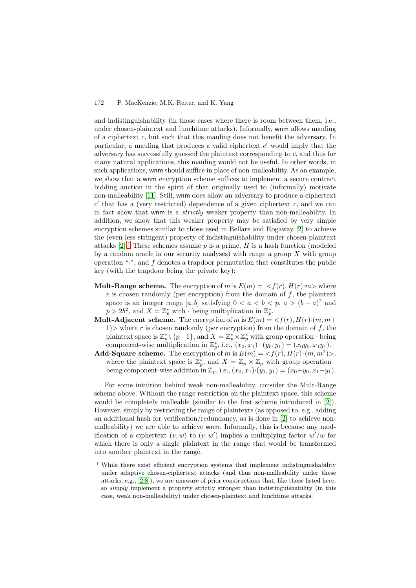and indistinguishability (in those cases where there is room between them, i.e., under chosen-plaintext and lunchtime attacks). Informally, wnm allows mauling of a ciphertext c, but such that this mauling does not benefit the adversary. In particular, a mauling that produces a valid ciphertext  $c'$  would imply that the adversary has successfully guessed the plaintext corresponding to c, and thus for many natural applications, this mauling would not be useful. In other words, in such applications, wnm should suffice in place of non-malleability. As an example, we show that a wnm encryption scheme suffices to implement a secure contract bidding auction in the spirit of that originally used to (informally) motivate non-malleability [\[11\]](#page-15-0). Still, wnm does allow an adversary to produce a ciphertext  $c'$  that has a (very restricted) dependence of a given ciphertext c, and we can in fact show that wnm is a *strictly* weaker property than non-malleability. In addition, we show that this weaker property may be satisfied by very simple encryption schemes similar to those used in Bellare and Rogaway [\[2\]](#page-14-0) to achieve the (even less stringent) property of indistinguishability under chosen-plaintext attacks  $[2]$ <sup>1</sup>. These schemes assume p is a prime, H is a hash function (modeled by a random oracle in our security analyses) with range a group  $X$  with group operation "·", and f denotes a trapdoor permutation that constitutes the public key (with the trapdoor being the private key):

- **Mult-Range scheme.** The encryption of m is  $E(m) = \langle f(r), H(r) \rangle$  where  $r$  is chosen randomly (per encryption) from the domain of  $f$ , the plaintext space is an integer range [a, b] satisfying  $0 < a < b < p$ ,  $a > (b - a)^2$  and  $p > 2b^2$ , and  $X = \mathbb{Z}_p^*$  with  $\cdot$  being multiplication in  $\mathbb{Z}_p^*$ .
- **Mult-Adjacent scheme.** The encryption of m is  $E(m) = \langle f(r), H(r) \cdot (m, m+1) \rangle$ 1) where r is chosen randomly (per encryption) from the domain of f, the plaintext space is  $\mathbb{Z}_p^* \setminus \{p-1\}$ , and  $X = \mathbb{Z}_p^* \times \mathbb{Z}_p^*$  with group operation  $\cdot$  being component-wise multiplication in  $\mathbb{Z}_p^*$ , i.e.,  $(x_0, x_1) \cdot (y_0, y_1) = (x_0y_0, x_1y_1)$ .
- **Add-Square scheme.** The encryption of m is  $E(m) = \langle f(r), H(r) \cdot (m, m^2) \rangle$ , where the plaintext space is  $\mathbb{Z}_p^*$ , and  $X = \mathbb{Z}_p \times \mathbb{Z}_p$  with group operation. being component-wise addition in  $\mathbb{Z}_p$ , i.e.,  $(x_0, x_1)\cdot(y_0, y_1)=(x_0+y_0, x_1+y_1)$ .

For some intuition behind weak non-malleability, consider the Mult-Range scheme above. Without the range restriction on the plaintext space, this scheme would be completely malleable (similar to the first scheme introduced in [\[2\]](#page-14-0)). However, simply by restricting the range of plaintexts (as opposed to, e.g., adding an additional hash for verification/redundancy, as is done in [\[2\]](#page-14-0) to achieve nonmalleability) we are able to achieve wnm. Informally, this is because any modification of a ciphertext  $(v, w)$  to  $(v, w')$  implies a multiplying factor  $w'/w$  for which there is only a single plaintext in the range that would be transformed into another plaintext in the range.

<sup>&</sup>lt;sup>1</sup> While there exist efficient encryption systems that implement indistinguishability under adaptive chosen-ciphertext attacks (and thus non-malleability under these attacks, e.g., [\[2,8\]](#page-14-0)), we are unaware of prior constructions that, like those listed here, so *simply* implement a property strictly stronger than indistinguishability (in this case, weak non-malleability) under chosen-plaintext and lunchtime attacks.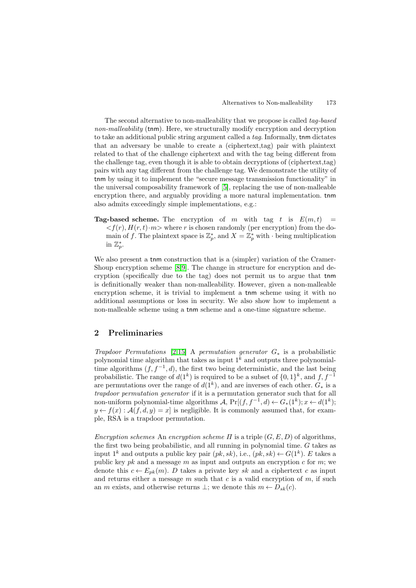The second alternative to non-malleability that we propose is called *tag-based non-malleability* (tnm). Here, we structurally modify encryption and decryption to take an additional public string argument called a *tag*. Informally, tnm dictates that an adversary be unable to create a (ciphertext,tag) pair with plaintext related to that of the challenge ciphertext and with the tag being different from the challenge tag, even though it is able to obtain decryptions of  $(ciphertext, tag)$ pairs with any tag different from the challenge tag. We demonstrate the utility of tnm by using it to implement the "secure message transmission functionality" in the universal composability framework of [\[5\]](#page-14-0), replacing the use of non-malleable encryption there, and arguably providing a more natural implementation. tnm also admits exceedingly simple implementations, e.g.:

**Tag-based scheme.** The encryption of m with tag t is  $E(m, t)$  =  $\langle f(r), H(r, t) \cdot m \rangle$  where r is chosen randomly (per encryption) from the domain of f. The plaintext space is  $\mathbb{Z}_p^*$ , and  $X = \mathbb{Z}_p^*$  with  $\cdot$  being multiplication in  $\mathbb{Z}_p^*$ .

We also present a tnm construction that is a (simpler) variation of the Cramer-Shoup encryption scheme [\[8](#page-14-0)[,9\]](#page-15-0). The change in structure for encryption and decryption (specifically due to the tag) does not permit us to argue that tnm is definitionally weaker than non-malleability. However, given a non-malleable encryption scheme, it is trivial to implement a tnm scheme using it with no additional assumptions or loss in security. We also show how to implement a non-malleable scheme using a tnm scheme and a one-time signature scheme.

# **2 Preliminaries**

*Trapdoor Permutations* [\[2](#page-14-0)[,15\]](#page-15-0) A *permutation generator* G<sup>∗</sup> is a probabilistic polynomial time algorithm that takes as input  $1^k$  and outputs three polynomialtime algorithms  $(f, f^{-1}, d)$ , the first two being deterministic, and the last being probabilistic. The range of  $d(1^k)$  is required to be a subset of  $\{0, 1\}^k$ , and f,  $f^{-1}$ are permutations over the range of  $d(1<sup>k</sup>)$ , and are inverses of each other.  $G_*$  is a *trapdoor permutation generator* if it is a permutation generator such that for all non-uniform polynomial-time algorithms  $\mathcal{A}, \Pr[(f, f^{-1}, d) \leftarrow G_*(1^k); x \leftarrow d(1^k);$  $y \leftarrow f(x) : \mathcal{A}(f, d, y) = x$  is negligible. It is commonly assumed that, for example, RSA is a trapdoor permutation.

*Encryption schemes* An *encryption scheme* Π is a triple (G, E, D) of algorithms, the first two being probabilistic, and all running in polynomial time. G takes as input  $1^k$  and outputs a public key pair  $(pk, sk)$ , i.e.,  $(pk, sk) \leftarrow G(1^k)$ . E takes a public key  $pk$  and a message  $m$  as input and outputs an encryption  $c$  for  $m$ ; we denote this  $c \leftarrow E_{pk}(m)$ . D takes a private key sk and a ciphertext c as input and returns either a message  $m$  such that  $c$  is a valid encryption of  $m$ , if such an m exists, and otherwise returns  $\bot$ ; we denote this  $m \leftarrow D_{sk}(c)$ .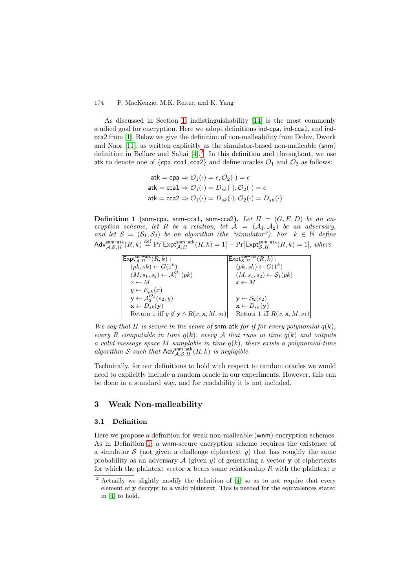<span id="page-3-0"></span>As discussed in Section [1,](#page-0-0) indistinguishability [\[14\]](#page-15-0) is the most commonly studied goal for encryption. Here we adopt definitions ind-cpa, ind-cca1, and indcca2 from [\[1\]](#page-14-0). Below we give the definition of non-malleability from Dolev, Dwork and Naor [\[11\]](#page-15-0), as written explicitly as the simulator-based non-malleable (snm) definition in Bellare and Sahai  $[4]$ <sup>2</sup> In this definition and throughout, we use atk to denote one of  $\{cpa, cca1, cca2\}$  and define oracles  $\mathcal{O}_1$  and  $\mathcal{O}_2$  as follows:

$$
\begin{aligned} \mathsf{atk} & = \mathsf{cpa} \Rightarrow \mathcal{O}_1(\cdot) = \epsilon, \mathcal{O}_2(\cdot) = \epsilon \\ \mathsf{atk} & = \mathsf{cca1} \Rightarrow \mathcal{O}_1(\cdot) = D_{sk}(\cdot), \mathcal{O}_2(\cdot) = \epsilon \\ \mathsf{atk} & = \mathsf{cca2} \Rightarrow \mathcal{O}_1(\cdot) = D_{sk}(\cdot), \mathcal{O}_2(\cdot) = D_{sk}(\cdot) \end{aligned}
$$

**Definition 1** (snm-cpa, snm-cca1, snm-cca2). Let  $\Pi = (G, E, D)$  be an en*cryption scheme, let* R *be a relation, let*  $\mathcal{A} = (\mathcal{A}_1, \mathcal{A}_2)$  *be an adversary, and let*  $S = (S_1, S_2)$  *be an algorithm (the "simulator"). For*  $k \in \mathbb{N}$  *define*  $\mathsf{Adv}_{\mathcal{A},\mathcal{S},\mathcal{\Pi}}^{\mathsf{snm}\text{-}\mathsf{atk}}(R,k) \stackrel{\text{def}}{=} \Pr[\mathsf{Expt}_{\mathcal{A},\mathcal{\Pi}}^{\mathsf{snm}\text{-}\mathsf{atk}}(R,k) = 1] - \Pr[\mathsf{Expt}_{\mathcal{S},\mathcal{\Pi}}^{\mathsf{snm}\text{-}\mathsf{atk}}(R,k) = 1],\text{ where}$ 

| $\mathsf{Expt}_{\mathcal{A},\Pi}^{\mathsf{snm}\text{-}\mathsf{atk}}(R,k):$ | $\mathsf{Expt}_{\mathcal{S},\Pi}^{\mathsf{snm-atk}}(R,k):$ |
|----------------------------------------------------------------------------|------------------------------------------------------------|
| $(pk, sk) \leftarrow G(1^k)$                                               | $(pk, sk) \leftarrow G(1^k)$                               |
| $(M, s_1, s_2) \leftarrow \mathcal{A}_1^{\mathcal{O}_1}(pk)$               | $(M, s_1, s_2) \leftarrow \mathcal{S}_1(pk)$               |
| $x \leftarrow M$                                                           | $x \leftarrow M$                                           |
| $y \leftarrow E_{pk}(x)$                                                   |                                                            |
| $\mathbf{y} \leftarrow \mathcal{A}_2^{\mathcal{O}_2}(s_2, y)$              | $\mathbf{y} \leftarrow \mathcal{S}_2(s_2)$                 |
| $\mathbf{x} \leftarrow D_{sk}(\mathbf{y})$                                 | $\mathbf{x} \leftarrow D_{sk}(\mathbf{y})$                 |
| Return 1 iff $y \notin \mathbf{y} \wedge R(x, \mathbf{x}, M, s_1)$         | Return 1 iff $R(x, \mathbf{x}, M, s_1)$                    |

*We say that* Π *is secure in the sense of* snm*-*atk *for if for every polynomial* q(k)*, every* R *computable in time*  $q(k)$ *, every* A *that runs in time*  $q(k)$  *and outputs a valid message space* M *samplable in time* q(k)*, there exists a polynomial-time a calculation of such that*  $\mathsf{Adv}_{\mathcal{A},\mathcal{S},\Pi}^{\mathsf{sum-atk}}(R,k)$  *is negligible.* 

Technically, for our definitions to hold with respect to random oracles we would need to explicitly include a random oracle in our experiments. However, this can be done in a standard way, and for readability it is not included.

# **3 Weak Non-malleability**

#### **3.1 Definition**

Here we propose a definition for weak non-malleable (wnm) encryption schemes. As in Definition 1, a wnm-secure encryption scheme requires the existence of a simulator S (not given a challenge ciphertext y) that has roughly the same probability as an adversary  $\mathcal A$  (given  $y$ ) of generating a vector **y** of ciphertexts for which the plaintext vector **x** bears some relationship R with the plaintext x

<sup>2</sup> Actually we slightly modify the definition of [\[4\]](#page-14-0) so as to not require that every element of **y** decrypt to a valid plaintext. This is needed for the equivalences stated in [\[4\]](#page-14-0) to hold.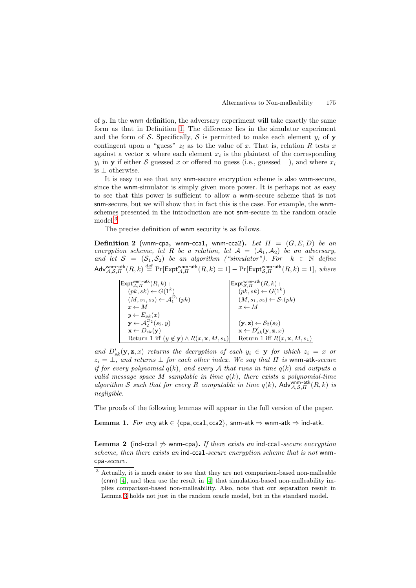<span id="page-4-0"></span>of y. In the wnm definition, the adversary experiment will take exactly the same form as that in Definition [1.](#page-3-0) The difference lies in the simulator experiment and the form of S. Specifically, S is permitted to make each element  $y_i$  of **y** contingent upon a "guess"  $z_i$  as to the value of x. That is, relation R tests x against a vector **x** where each element  $x_i$  is the plaintext of the corresponding  $y_i$  in **y** if either S guessed x or offered no guess (i.e., guessed  $\perp$ ), and where  $x_i$ is ⊥ otherwise.

It is easy to see that any snm-secure encryption scheme is also wnm-secure, since the wnm-simulator is simply given more power. It is perhaps not as easy to see that this power is sufficient to allow a wnm-secure scheme that is not snm-secure, but we will show that in fact this is the case. For example, the wnmschemes presented in the introduction are not snm-secure in the random oracle model.<sup>3</sup>

The precise definition of wnm security is as follows.

**Definition 2** (wnm-cpa, wnm-cca1, wnm-cca2). Let  $\Pi = (G, E, D)$  be an *encryption scheme, let* R *be a relation, let*  $A = (A_1, A_2)$  *be an adversary, and let*  $S = (S_1, S_2)$  *be an algorithm ("simulator"). For*  $k \in \mathbb{N}$  *define*  $\mathsf{Adv}_{\mathcal{A},\mathcal{S},\mathcal{\Pi}}^{\mathsf{num}\text{-}\mathsf{atk}}(R,k) \stackrel{\text{def}}{=} \Pr[\mathsf{Expt}_{\mathcal{A},\mathcal{\Pi}}^{\mathsf{num}\text{-}\mathsf{atk}}(R,k) = 1] - \Pr[\mathsf{Expt}_{\mathcal{S},\mathcal{\Pi}}^{\mathsf{num}\text{-}\mathsf{atk}}(R,k) = 1],\text{ where }$ 

| $\Big {\mathsf{Expt}}_{\mathcal{A},\varPi}^{\mathsf{wnm-atk}}(R,k)$ : | $\mathsf{Expt}_{\mathcal S.\Pi}^{\mathsf{wnm}\text{-}\mathsf{atk}}(R,k):$ |
|-----------------------------------------------------------------------|---------------------------------------------------------------------------|
| $(pk, sk) \leftarrow G(1^k)$                                          | $(pk, sk) \leftarrow G(1^k)$                                              |
| $(M, s_1, s_2) \leftarrow \mathcal{A}_1^{\mathcal{O}_1}(pk)$          | $(M, s_1, s_2) \leftarrow \mathcal{S}_1(pk)$                              |
| $x \leftarrow M$                                                      | $x \leftarrow M$                                                          |
| $y \leftarrow E_{pk}(x)$                                              |                                                                           |
| $\mathbf{y} \leftarrow \mathcal{A}_2^{\mathcal{O}_2}(s_2, y)$         | $(\mathbf{y},\mathbf{z}) \leftarrow \mathcal{S}_2(s_2)$                   |
| $\mathbf{x} \leftarrow D_{sk}(\mathbf{y})$                            | $\mathbf{x} \leftarrow D'_{sk}(\mathbf{y}, \mathbf{z}, x)$                |
| Return 1 iff $(y \notin y) \wedge R(x, x, M, s_1)$                    | Return 1 iff $R(x, \mathbf{x}, M, s_1)$                                   |

and  $D'_{sk}(\mathbf{y}, \mathbf{z}, x)$  returns the decryption of each  $y_i \in \mathbf{y}$  for which  $z_i = x$  or  $z_i = \perp$ , and returns  $\perp$  for each other index. We say that  $\Pi$  is wnm-atk-secure *if for every polynomial*  $q(k)$ *, and every* A *that runs in time*  $q(k)$  *and outputs a valid message space* M *samplable in time* q(k)*, there exists a polynomial-time algorithm* S such that for every R computable in time  $q(k)$ ,  $Adv_{A,S,\Pi}^{\text{wmm-atk}}(R, k)$  is *negligible.*

The proofs of the following lemmas will appear in the full version of the paper.

**Lemma 1.** *For any* atk ∈ {cpa, cca1, cca2}, snm-atk  $\Rightarrow$  wnm-atk  $\Rightarrow$  ind-atk.

**Lemma 2** (ind-cca1  $\neq$  wnm-cpa). If there exists an ind-cca1-secure encryption *scheme, then there exists an* ind*-*cca1*-secure encryption scheme that is not* wnmcpa*-secure.*

<sup>3</sup> Actually, it is much easier to see that they are not comparison-based non-malleable (cnm) [\[4\]](#page-14-0), and then use the result in [\[4\]](#page-14-0) that simulation-based non-malleability implies comparison-based non-malleability. Also, note that our separation result in Lemma [3](#page-5-0) holds not just in the random oracle model, but in the standard model.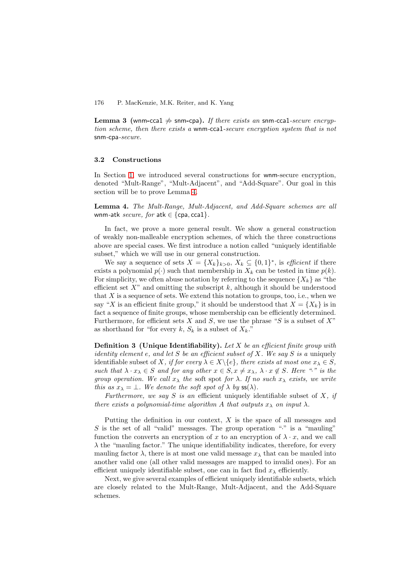<span id="page-5-0"></span>**Lemma 3** (wnm-cca1  $\neq$  snm-cpa). If there exists an snm-cca1*-secure encryption scheme, then there exists a* wnm*-*cca1*-secure encryption system that is not* snm*-*cpa*-secure.*

#### **3.2 Constructions**

In Section [1,](#page-0-0) we introduced several constructions for wnm-secure encryption, denoted "Mult-Range", "Mult-Adjacent", and "Add-Square". Our goal in this section will be to prove Lemma 4.

**Lemma 4.** *The Mult-Range, Mult-Adjacent, and Add-Square schemes are all* wnm*-*atk *secure, for* atk ∈ {cpa, cca1}*.*

In fact, we prove a more general result. We show a general construction of weakly non-malleable encryption schemes, of which the three constructions above are special cases. We first introduce a notion called "uniquely identifiable subset," which we will use in our general construction.

We say a sequence of sets  $X = \{X_k\}_{k>0}, X_k \subseteq \{0,1\}^*$ , is *efficient* if there exists a polynomial  $p(\cdot)$  such that membership in  $X_k$  can be tested in time  $p(k)$ . For simplicity, we often abuse notation by referring to the sequence  $\{X_k\}$  as "the efficient set  $X^{\prime\prime}$  and omitting the subscript k, although it should be understood that  $X$  is a sequence of sets. We extend this notation to groups, too, i.e., when we say "X is an efficient finite group," it should be understood that  $X = \{X_k\}$  is in fact a sequence of finite groups, whose membership can be efficiently determined. Furthermore, for efficient sets X and S, we use the phrase "S is a subset of  $X$ " as shorthand for "for every k,  $S_k$  is a subset of  $X_k$ ."

**Definition 3 (Unique Identifiability).** *Let* X *be an efficient finite group with identity element* e*, and let* S *be an efficient subset of* X*. We say* S *is a* uniquely identifiable subset of X, if for every  $\lambda \in X \setminus \{e\}$ , there exists at most one  $x_{\lambda} \in S$ , *such that*  $\lambda \cdot x_{\lambda} \in S$  *and for any other*  $x \in S, x \neq x_{\lambda}, \lambda \cdot x \notin S$ *. Here "in is the group operation. We call*  $x_{\lambda}$  *the* soft spot *for*  $\lambda$ *. If no such*  $x_{\lambda}$  *exists, we write this as*  $x_{\lambda} = \bot$ *. We denote the soft spot of*  $\lambda$  *by* ss( $\lambda$ )*.* 

*Furthermore, we say* S *is an* efficient uniquely identifiable subset of X*, if there exists a polynomial-time algorithm* A *that outputs*  $x_{\lambda}$  *on input*  $\lambda$ *.* 

Putting the definition in our context,  $X$  is the space of all messages and S is the set of all "valid" messages. The group operation " $\cdot$ " is a "mauling" function the converts an encryption of x to an encryption of  $\lambda \cdot x$ , and we call  $\lambda$  the "mauling factor." The unique identifiability indicates, therefore, for every mauling factor  $\lambda$ , there is at most one valid message  $x_{\lambda}$  that can be mauled into another valid one (all other valid messages are mapped to invalid ones). For an efficient uniquely identifiable subset, one can in fact find  $x_{\lambda}$  efficiently.

Next, we give several examples of efficient uniquely identifiable subsets, which are closely related to the Mult-Range, Mult-Adjacent, and the Add-Square schemes.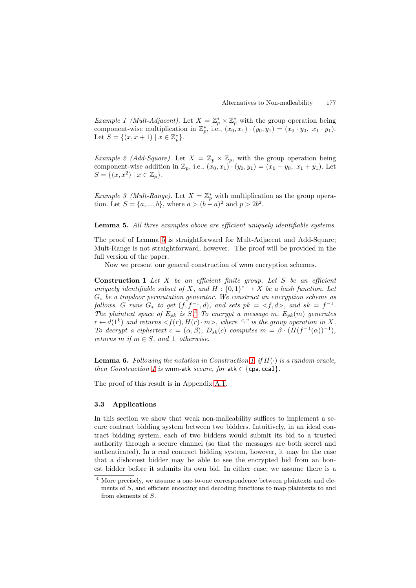<span id="page-6-0"></span>*Example 1 (Mult-Adjacent).* Let  $X = \mathbb{Z}_p^* \times \mathbb{Z}_p^*$  with the group operation being component-wise multiplication in  $\mathbb{Z}_p^*$ , i.e.,  $(x_0, x_1) \cdot (y_0, y_1) = (x_0 \cdot y_0, x_1 \cdot y_1)$ . Let  $S = \{(x, x+1) \mid x \in \mathbb{Z}_p^*\}.$ 

*Example 2 (Add-Square).* Let  $X = \mathbb{Z}_p \times \mathbb{Z}_p$ , with the group operation being component-wise addition in  $\mathbb{Z}_p$ , i.e.,  $(x_0, x_1) \cdot (y_0, y_1) = (x_0 + y_0, x_1 + y_1)$ . Let  $S = \{(x, x^2) \mid x \in \mathbb{Z}_p\}.$ 

*Example 3 (Mult-Range).* Let  $X = \mathbb{Z}_p^*$  with multiplication as the group operation. Let  $S = \{a, ..., b\}$ , where  $a > (b - a)^2$  and  $p > 2b^2$ .

**Lemma 5.** *All three examples above are efficient uniquely identifiable systems.*

The proof of Lemma 5 is straightforward for Mult-Adjacent and Add-Square; Mult-Range is not straightforward, however. The proof will be provided in the full version of the paper.

Now we present our general construction of wnm encryption schemes.

**Construction 1** *Let* X *be an efficient finite group. Let* S *be an efficient uniquely identifiable subset of* X, and  $H: \{0,1\}^* \to X$  *be a hash function. Let* G<sup>∗</sup> *be a trapdoor permutation generator. We construct an encryption scheme as follows.* G runs  $G_*$  to get  $(f, f^{-1}, d)$ , and sets  $pk = \langle f, d \rangle$ , and  $sk = f^{-1}$ . *The plaintext space of*  $E_{pk}$  *is*  $S^4$ . *To encrypt a message*  $m$ ,  $E_{pk}(m)$  generates  $r \leftarrow d(1^k)$  and returns  $\langle f(r), H(r) \cdot m \rangle$ , where "·" is the group operation in X. *To decrypt a ciphertext*  $c = (\alpha, \beta)$ *,*  $D_{sk}(c)$  *computes*  $m = \beta \cdot (H(f^{-1}(\alpha))^{-1})$ *, returns*  $m$  *if*  $m \in S$ *, and*  $\perp$  *otherwise.* 

**Lemma 6.** *Following the notation in Construction 1, if* H(·) *is a random oracle, then Construction 1 is* wnm-atk *secure, for* atk  $\in$  {cpa, cca1}*.* 

The proof of this result is in Appendix [A.1.](#page-15-0)

#### **3.3 Applications**

In this section we show that weak non-malleability suffices to implement a secure contract bidding system between two bidders. Intuitively, in an ideal contract bidding system, each of two bidders would submit its bid to a trusted authority through a secure channel (so that the messages are both secret and authenticated). In a real contract bidding system, however, it may be the case that a dishonest bidder may be able to see the encrypted bid from an honest bidder before it submits its own bid. In either case, we assume there is a

<sup>&</sup>lt;sup>4</sup> More precisely, we assume a one-to-one correspondence between plaintexts and elements of S, and efficient encoding and decoding functions to map plaintexts to and from elements of S.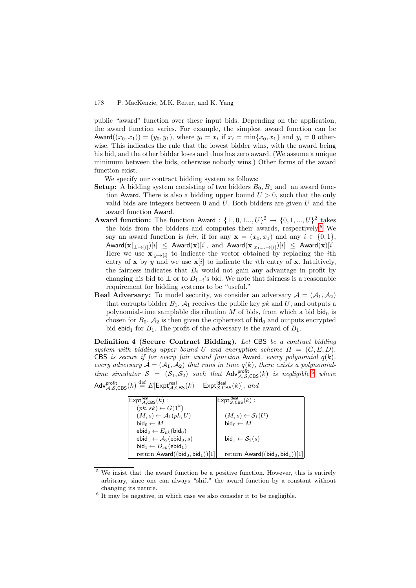public "award" function over these input bids. Depending on the application, the award function varies. For example, the simplest award function can be Award $((x_0, x_1)) = (y_0, y_1)$ , where  $y_i = x_i$  if  $x_i = \min\{x_0, x_1\}$  and  $y_i = 0$  otherwise. This indicates the rule that the lowest bidder wins, with the award being his bid, and the other bidder loses and thus has zero award. (We assume a unique minimum between the bids, otherwise nobody wins.) Other forms of the award function exist.

We specify our contract bidding system as follows:

- **Setup:** A bidding system consisting of two bidders  $B_0$ ,  $B_1$  and an award function Award. There is also a bidding upper bound  $U > 0$ , such that the only valid bids are integers between  $0$  and  $U$ . Both bidders are given  $U$  and the award function Award.
- **Award function:** The function Award :  $\{\perp, 0, 1, \ldots, U\}^2 \rightarrow \{0, 1, \ldots, U\}^2$  takes the bids from the bidders and computes their awards, respectively.<sup>5</sup> We say an award function is *fair*, if for any  $\mathbf{x} = (x_0, x_1)$  and any  $i \in \{0, 1\}$ , Award( $\mathbf{x}|_{\perp\to[i]}$ )[i] ≤ Award( $\mathbf{x}|_{i}$ ), and Award( $\mathbf{x}|_{x_{1-i}\to[i]}$ )[i] ≤ Award( $\mathbf{x}|_{i}$ ]. Here we use  $\mathbf{x}|_{y\to[i]}$  to indicate the vector obtained by replacing the *i*th entry of **x** by y and we use  $\mathbf{x}[i]$  to indicate the *i*th entry of **x**. Intuitively, the fairness indicates that  $B_i$  would not gain any advantage in profit by changing his bid to  $\perp$  or to  $B_{1-i}$ 's bid. We note that fairness is a reasonable requirement for bidding systems to be "useful."
- **Real Adversary:** To model security, we consider an adversary  $A = (A_1, A_2)$ that corrupts bidder  $B_1$ .  $A_1$  receives the public key pk and U, and outputs a polynomial-time samplable distribution  $M$  of bids, from which a bid bid<sub>0</sub> is chosen for  $B_0$ .  $A_2$  is then given the ciphertext of bid<sub>0</sub> and outputs encrypted bid ebid<sub>1</sub> for  $B_1$ . The profit of the adversary is the award of  $B_1$ .

**Definition 4 (Secure Contract Bidding).** *Let* CBS *be a contract bidding system with bidding upper bound* U and encryption scheme  $\Pi = (G, E, D)$ . CBS *is secure if for every fair award function* Award, every polynomial  $q(k)$ , *every adversary*  $A = (A_1, A_2)$  *that runs in time*  $q(k)$ *, there exists a polynomial* $time$  simulator  $S = (S_1, S_2)$  *such that*  $Adv_{A,S,\text{CBS}}^{\text{profit}}(k)$  *is negligible*,<sup>6</sup> *where*  $\mathsf{Adv}_{\mathcal{A},\mathcal{S},\mathsf{CBS}}^{\mathsf{profit}}(k) \stackrel{\text{def}}{=} E[\mathsf{Expt}_{\mathcal{A},\mathsf{CBS}}^{\mathsf{real}}(k) - \mathsf{Expt}_{\mathcal{S},\mathsf{CBS}}^{\mathsf{ideal}}(k)],$  and

| $\overline{\mathsf{Expt}}_{\mathcal{A},\mathsf{CBS}}^\mathsf{real}(k)$ : | $\mathsf{Expt}_{\mathcal{S}.\mathsf{CBS}}^\mathsf{ideal}(k)$ : |
|--------------------------------------------------------------------------|----------------------------------------------------------------|
| $(pk, sk) \leftarrow G(1^k)$                                             |                                                                |
| $(M, s) \leftarrow \mathcal{A}_1(pk, U)$                                 | $(M, s) \leftarrow \mathcal{S}_1(U)$                           |
| $\mathsf{bid}_0 \leftarrow M$                                            | $bid0 \leftarrow M$                                            |
| $ebid_0 \leftarrow E_{pk}(bid_0)$                                        |                                                                |
| $ebid_1 \leftarrow \mathcal{A}_2(ebid_0, s)$                             | $\mathsf{bid}_1 \leftarrow \mathcal{S}_2(s)$                   |
| $\mathsf{bid}_1 \leftarrow D_{sk}(\mathsf{ebid}_1)$                      |                                                                |
| return $Award((bid0, bid1))[1]$                                          | return Award $((bid0, bid1))[1]$                               |

<sup>&</sup>lt;sup>5</sup> We insist that the award function be a positive function. However, this is entirely arbitrary, since one can always "shift" the award function by a constant without changing its nature.

It may be negative, in which case we also consider it to be negligible.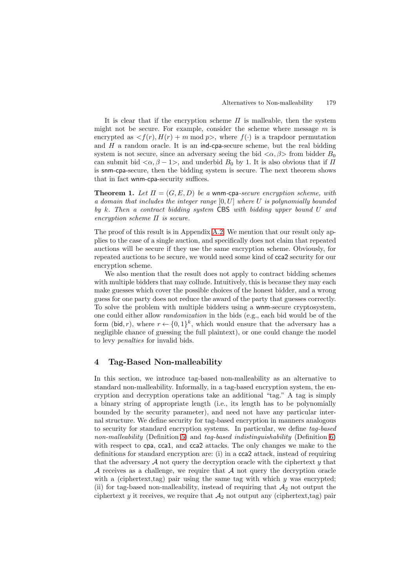<span id="page-8-0"></span>It is clear that if the encryption scheme  $\Pi$  is malleable, then the system might not be secure. For example, consider the scheme where message  $m$  is encrypted as  $\langle f(r), H(r) + m \bmod p \rangle$ , where  $f(\cdot)$  is a trapdoor permutation and  $H$  a random oracle. It is an ind-cpa-secure scheme, but the real bidding system is not secure, since an adversary seeing the bid  $\langle \alpha, \beta \rangle$  from bidder  $B_0$ can submit bid  $\langle \alpha, \beta - 1 \rangle$ , and underbid  $B_0$  by 1. It is also obvious that if  $\Pi$ is snm-cpa-secure, then the bidding system is secure. The next theorem shows that in fact wnm-cpa-security suffices.

**Theorem 1.** Let  $\Pi = (G, E, D)$  be a wnm-cpa-secure encryption scheme, with *a domain that includes the integer range* [0, U] *where* U *is polynomially bounded by* k*. Then a contract bidding system* CBS *with bidding upper bound* U *and encryption scheme* Π *is secure.*

The proof of this result is in Appendix [A.2.](#page-16-0) We mention that our result only applies to the case of a single auction, and specifically does not claim that repeated auctions will be secure if they use the same encryption scheme. Obviously, for repeated auctions to be secure, we would need some kind of cca2 security for our encryption scheme.

We also mention that the result does not apply to contract bidding schemes with multiple bidders that may collude. Intuitively, this is because they may each make guesses which cover the possible choices of the honest bidder, and a wrong guess for one party does not reduce the award of the party that guesses correctly. To solve the problem with multiple bidders using a wnm-secure cryptosystem, one could either allow *randomization* in the bids (e.g., each bid would be of the form (bid, r), where  $r \leftarrow \{0,1\}^k$ , which would ensure that the adversary has a negligible chance of guessing the full plaintext), or one could change the model to levy *penalties* for invalid bids.

# **4 Tag-Based Non-malleability**

In this section, we introduce tag-based non-malleability as an alternative to standard non-malleability. Informally, in a tag-based encryption system, the encryption and decryption operations take an additional "tag." A tag is simply a binary string of appropriate length (i.e., its length has to be polynomially bounded by the security parameter), and need not have any particular internal structure. We define security for tag-based encryption in manners analogous to security for standard encryption systems. In particular, we define *tag-based non-malleability* (Definition [5\)](#page-9-0) and *tag-based indistinguishability* (Definition [6\)](#page-9-0) with respect to cpa, cca1, and cca2 attacks. The only changes we make to the definitions for standard encryption are: (i) in a cca2 attack, instead of requiring that the adversary  $A$  not query the decryption oracle with the ciphertext  $y$  that  $A$  receives as a challenge, we require that  $A$  not query the decryption oracle with a (ciphertext,tag) pair using the same tag with which  $y$  was encrypted; (ii) for tag-based non-malleability, instead of requiring that  $A_2$  not output the ciphertext y it receives, we require that  $A_2$  not output any (ciphertext,tag) pair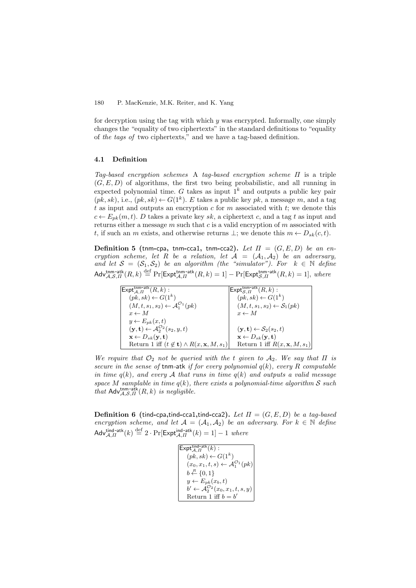<span id="page-9-0"></span>for decryption using the tag with which  $y$  was encrypted. Informally, one simply changes the "equality of two ciphertexts" in the standard definitions to "equality of *the tags of* two ciphertexts," and we have a tag-based definition.

#### **4.1 Definition**

*Tag-based encryption schemes* A *tag-based encryption scheme* Π is a triple  $(G, E, D)$  of algorithms, the first two being probabilistic, and all running in expected polynomial time. G takes as input  $1^k$  and outputs a public key pair  $(pk, sk)$ , i.e.,  $(pk, sk) \leftarrow G(1^k)$ . E takes a public key pk, a message m, and a tag t as input and outputs an encryption c for m associated with t; we denote this  $c \leftarrow E_{nk}(m, t)$ . D takes a private key sk, a ciphertext c, and a tag t as input and returns either a message  $m$  such that  $c$  is a valid encryption of  $m$  associated with t, if such an m exists, and otherwise returns  $\perp$ ; we denote this  $m \leftarrow D_{sk}(c, t)$ .

**Definition 5** (tnm-cpa, tnm-cca1, tnm-cca2). Let  $\Pi = (G, E, D)$  be an en*cryption scheme, let* R *be a relation, let*  $A = (A_1, A_2)$  *be an adversary, and let*  $S = (S_1, S_2)$  *be an algorithm (the "simulator"). For*  $k \in \mathbb{N}$  *define*  $\mathsf{Adv}_{\mathcal{A},\mathcal{S},\mathcal{\Pi}}^{\mathsf{tnm-atk}}(R,k) \stackrel{\text{def}}{=} \Pr[\mathsf{Expt}_{\mathcal{A},\mathcal{\Pi}}^{\mathsf{tnm-atk}}(R,k) = 1] - \Pr[\mathsf{Expt}_{\mathcal{S},\mathcal{\Pi}}^{\mathsf{tnm-atk}}(R,k) = 1],\text{ where }$ 

| $\big {\mathsf{Expt}}_{A,H}^{\mathsf{tnm}\text{-}\mathsf{atk}}(R,k):$          | $\mathsf{Expt}_{\mathcal S.\Pi}^{\mathsf{tnm}\mathsf{-atk}}(R,k):$ |
|--------------------------------------------------------------------------------|--------------------------------------------------------------------|
| $(pk, sk) \leftarrow G(1^k)$                                                   | $(pk, sk) \leftarrow G(1^k)$                                       |
| $(M, t, s_1, s_2) \leftarrow \mathcal{A}_1^{\mathcal{O}_1}(pk)$                | $(M, t, s_1, s_2) \leftarrow \mathcal{S}_1(pk)$                    |
| $x \leftarrow M$                                                               | $x \leftarrow M$                                                   |
| $y \leftarrow E_{pk}(x, t)$                                                    |                                                                    |
| $(\mathbf{y}, \mathbf{t}) \leftarrow \mathcal{A}_2^{\mathcal{O}_2}(s_2, y, t)$ | $(\mathbf{y}, \mathbf{t}) \leftarrow \mathcal{S}_2(s_2, t)$        |
| $\mathbf{x} \leftarrow D_{sk}(\mathbf{y}, \mathbf{t})$                         | $\mathbf{x} \leftarrow D_{sk}(\mathbf{y}, \mathbf{t})$             |
| Return 1 iff $(t \notin \mathbf{t}) \wedge R(x, \mathbf{x}, M, s_1)$           | Return 1 iff $R(x, \mathbf{x}, M, s_1)$                            |

*We require that*  $\mathcal{O}_2$  *not be queried with the* t *given to*  $\mathcal{A}_2$ . We say that  $\Pi$  is *secure in the sense of* tnm*-*atk *if for every polynomial* q(k)*, every* R *computable in time*  $q(k)$ *, and every* A *that runs in time*  $q(k)$  *and outputs a valid message space* M *samplable in time* q(k)*, there exists a polynomial-time algorithm* S *such that*  $\text{Adv}_{\mathcal{A},\mathcal{S},\Pi}^{\text{num-atk}}(R,k)$  *is negligible.* 

**Definition 6** (tind-cpa,tind-cca1,tind-cca2). Let  $\Pi = (G, E, D)$  be a tag-based *encryption scheme, and let*  $\mathcal{A} = (\mathcal{A}_1, \mathcal{A}_2)$  *be an adversary. For*  $k \in \mathbb{N}$  *define*  $\mathsf{Adv}_{\mathcal{A},\mathcal{I}}^{\mathsf{tind}\text{-}\mathsf{atk}}(k) \stackrel{\text{def}}{=} 2 \cdot \Pr[\mathsf{Expt}_{\mathcal{A},\mathcal{I}}^{\mathsf{ind}\text{-}\mathsf{atk}}(k) = 1] - 1$  where

```
\overline{\mathsf{Expt}}_{\mathcal{A},\varPi}^{\mathsf{tind-atk}}(k) :
(pk, sk) \leftarrow G(1^k)(x_0, x_1, t, s) \leftarrow \mathcal{A}_1^{\mathcal{O}_1}(pk)b \stackrel{R}{\leftarrow} \{0,1\}y \leftarrow E_{pk}(x_b, t)b' \leftarrow \mathcal{A}_2^{\mathcal{O}_2}(x_0,x_1,t,s,y)Return 1 iff b = b'
```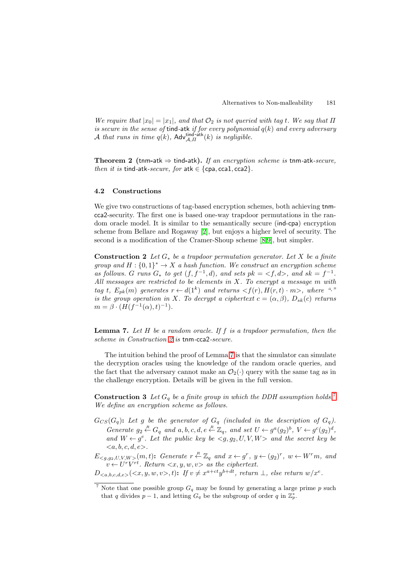<span id="page-10-0"></span>*We require that*  $|x_0| = |x_1|$ *, and that*  $\mathcal{O}_2$  *is not queried with tag t. We say that*  $\Pi$ *is secure in the sense of* tind*-*atk *if for every polynomial* q(k) *and every adversary* A that runs in time  $q(k)$ ,  $\text{Adv}_{A,\Pi}^{\text{tind-atk}}(k)$  is negligible.

**Theorem 2** (tnm-atk  $\Rightarrow$  tind-atk). If an encryption scheme is tnm-atk-secure, *then it is* tind-atk-secure, for atk  $\in$  {cpa, cca1, cca2}.

#### **4.2 Constructions**

We give two constructions of tag-based encryption schemes, both achieving tnmcca2-security. The first one is based one-way trapdoor permutations in the random oracle model. It is similar to the semantically secure (ind-cpa) encryption scheme from Bellare and Rogaway [\[2\]](#page-14-0), but enjoys a higher level of security. The second is a modification of the Cramer-Shoup scheme [\[8](#page-14-0)[,9\]](#page-15-0), but simpler.

**Construction 2** *Let* G<sup>∗</sup> *be a trapdoor permutation generator. Let* X *be a finite group and*  $H: \{0,1\}^* \to X$  *a hash function. We construct an encryption scheme* as follows. G runs  $G_*$  to get  $(f, f^{-1}, d)$ , and sets  $pk = \langle f, d \rangle$ , and  $sk = f^{-1}$ . *All messages are restricted to be elements in* X*. To encrypt a message* m *with tag* t,  $E_{pk}(m)$  generates  $r \leftarrow d(1^k)$  and returns  $\langle f(r), H(r,t) \cdot m \rangle$ , where " *is the group operation in* X. To decrypt a ciphertext  $c = (\alpha, \beta)$ ,  $D_{sk}(c)$  returns  $m = \beta \cdot (H(f^{-1}(\alpha), t)^{-1}).$ 

**Lemma 7.** *Let* H *be a random oracle. If* f *is a trapdoor permutation, then the scheme in Construction 2 is* tnm*-*cca2*-secure.*

The intuition behind the proof of Lemma 7 is that the simulator can simulate the decryption oracles using the knowledge of the random oracle queries, and the fact that the adversary cannot make an  $\mathcal{O}_2(\cdot)$  query with the same tag as in the challenge encryption. Details will be given in the full version.

**Construction 3** Let  $G_q$  be a finite group in which the DDH assumption holds.<sup>7</sup> *We define an encryption scheme as follows.*

- $G_{CS}(G_q)$ : Let g be the generator of  $G_q$  (included in the description of  $G_q$ ). *Generate*  $g_2 \stackrel{R}{\leftarrow} G_q$  and  $a, b, c, d, e \stackrel{R}{\leftarrow} \mathbb{Z}_q$ , and set  $U \leftarrow g^a(g_2)^b$ ,  $V \leftarrow g^c(g_2)^d$ , and  $W \leftarrow g^e$ . Let the public key be  $\langle q, q_2, U, V, W \rangle$  and the secret key be  $\langle a, b, c, d, e \rangle$ .
- $E_{\leq g,g_2,U,V,W>} (m, t)$ : *Generate*  $r \stackrel{R}{\leftarrow} \mathbb{Z}_q$  *and*  $x \leftarrow g^r$ ,  $y \leftarrow (g_2)^r$ ,  $w \leftarrow W^r m$ , and  $v \leftarrow U^{r}V^{rt}$ . Return  $\langle x, y, w, v \rangle$  as the ciphertext.

 $D_{\leq a,b,c,d,e>}($ , *t*): If  $v \neq x^{a+ct}y^{b+dt}$ , return  $\perp$ , else return  $w/x^e$ .

<sup>&</sup>lt;sup>7</sup> Note that one possible group  $G_q$  may be found by generating a large prime p such that q divides  $p-1$ , and letting  $G_q$  be the subgroup of order q in  $\mathbb{Z}_p^*$ .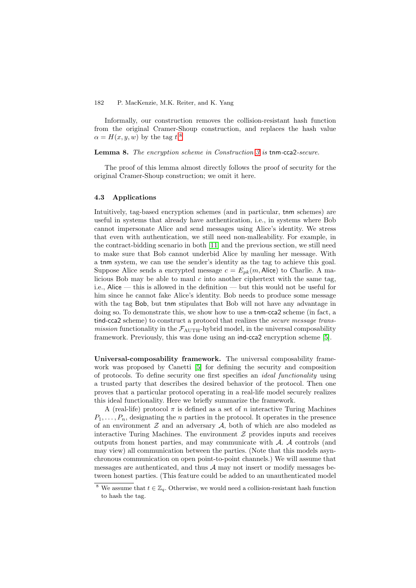Informally, our construction removes the collision-resistant hash function from the original Cramer-Shoup construction, and replaces the hash value  $\alpha = H(x, y, w)$  by the tag  $t^8$ .

**Lemma 8.** *The encryption scheme in Construction [3](#page-10-0) is* tnm*-*cca2*-secure.*

The proof of this lemma almost directly follows the proof of security for the original Cramer-Shoup construction; we omit it here.

#### **4.3 Applications**

Intuitively, tag-based encryption schemes (and in particular, tnm schemes) are useful in systems that already have authentication, i.e., in systems where Bob cannot impersonate Alice and send messages using Alice's identity. We stress that even with authentication, we still need non-malleability. For example, in the contract-bidding scenario in both [\[11\]](#page-15-0) and the previous section, we still need to make sure that Bob cannot underbid Alice by mauling her message. With a tnm system, we can use the sender's identity as the tag to achieve this goal. Suppose Alice sends a encrypted message  $c = E_{pk}(m, \text{Alice})$  to Charlie. A malicious Bob may be able to maul  $c$  into another ciphertext with the same tag, i.e., Alice — this is allowed in the definition — but this would not be useful for him since he cannot fake Alice's identity. Bob needs to produce some message with the tag Bob, but tnm stipulates that Bob will not have any advantage in doing so. To demonstrate this, we show how to use a tnm-cca2 scheme (in fact, a tind-cca2 scheme) to construct a protocol that realizes the *secure message transmission* functionality in the  $\mathcal{F}_{\text{AUTH}}$ -hybrid model, in the universal composability framework. Previously, this was done using an ind-cca2 encryption scheme [\[5\]](#page-14-0).

**Universal-composability framework.** The universal composability framework was proposed by Canetti [\[5\]](#page-14-0) for defining the security and composition of protocols. To define security one first specifies an *ideal functionality* using a trusted party that describes the desired behavior of the protocol. Then one proves that a particular protocol operating in a real-life model securely realizes this ideal functionality. Here we briefly summarize the framework.

A (real-life) protocol  $\pi$  is defined as a set of n interactive Turing Machines  $P_1, \ldots, P_n$ , designating the *n* parties in the protocol. It operates in the presence of an environment  $\mathcal Z$  and an adversary  $\mathcal A$ , both of which are also modeled as interactive Turing Machines. The environment  $\mathcal Z$  provides inputs and receives outputs from honest parties, and may communicate with  $A$ .  $A$  controls (and may view) all communication between the parties. (Note that this models asynchronous communication on open point-to-point channels.) We will assume that messages are authenticated, and thus  $A$  may not insert or modify messages between honest parties. (This feature could be added to an unauthenticated model

<sup>&</sup>lt;sup>8</sup> We assume that  $t \in \mathbb{Z}_q$ . Otherwise, we would need a collision-resistant hash function to hash the tag.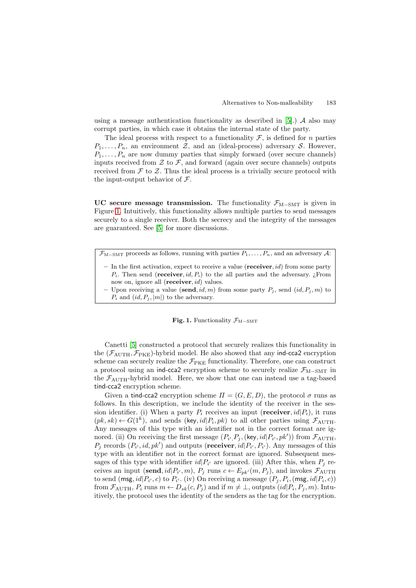<span id="page-12-0"></span>using a message authentication functionality as described in  $[5]$ .) A also may corrupt parties, in which case it obtains the internal state of the party.

The ideal process with respect to a functionality  $\mathcal{F}$ , is defined for n parties  $P_1, \ldots, P_n$ , an environment Z, and an (ideal-process) adversary S. However,  $P_1, \ldots, P_n$  are now dummy parties that simply forward (over secure channels) inputs received from  $\mathcal Z$  to  $\mathcal F$ , and forward (again over secure channels) outputs received from  $\mathcal F$  to  $\mathcal Z$ . Thus the ideal process is a trivially secure protocol with the input-output behavior of  $\mathcal{F}$ .

**UC secure message transmission.** The functionality  $\mathcal{F}_{M-SMT}$  is given in Figure 1. Intuitively, this functionality allows multiple parties to send messages securely to a single receiver. Both the secrecy and the integrity of the messages are guaranteed. See [\[5\]](#page-14-0) for more discussions.

- $\mathcal{F}_{M-SMT}$  proceeds as follows, running with parties  $P_1,\ldots,P_n$ , and an adversary  $\mathcal{A}$ :
	- **–** In the first activation, expect to receive a value (**receiver**, id) from some party  $P_i$ . Then send (**receiver**, *id*,  $P_i$ ) to the all parties and the adversary. *i*From now on, ignore all (**receiver**, id) values.
	- Upon receiving a value (send, id, m) from some party  $P_j$ , send  $(id, P_j, m)$  to  $P_i$  and  $(id, P_j, |m|)$  to the adversary.

#### **Fig. 1.** Functionality  $\mathcal{F}_{M-SMT}$

Canetti [\[5\]](#page-14-0) constructed a protocol that securely realizes this functionality in the  $(\mathcal{F}_{\text{AUTH}}, \mathcal{F}_{\text{PKE}})$ -hybrid model. He also showed that any ind-cca2 encryption scheme can securely realize the  $\mathcal{F}_{\text{PKE}}$  functionality. Therefore, one can construct a protocol using an ind-cca2 encryption scheme to securely realize  $\mathcal{F}_{M-SMT}$  in the  $\mathcal{F}_{\text{AUTH}}$ -hybrid model. Here, we show that one can instead use a tag-based tind-cca2 encryption scheme.

Given a tind-cca2 encryption scheme  $\Pi = (G, E, D)$ , the protocol  $\sigma$  runs as follows. In this description, we include the identity of the receiver in the session identifier. (i) When a party  $P_i$  receives an input (**receiver**,  $id|P_i|$ ), it runs  $(pk, sk) \leftarrow G(1^k)$ , and sends  $(\text{key}, id | P_i, pk)$  to all other parties using  $\mathcal{F}_{\text{AUTH}}$ . Any messages of this type with an identifier not in the correct format are ignored. (ii) On receiving the first message  $(P_{i'}, P_j, (\text{key}, id | P_{i'}, pk'))$  from  $\mathcal{F}_{\text{AUTH}}$ ,  $P_j$  records  $(P_{i'}, id, pk')$  and outputs (**receiver**,  $id|P_{i'}, P_{i'}|$ ). Any messages of this type with an identifier not in the correct format are ignored. Subsequent messages of this type with identifier  $id|P_i|$  are ignored. (iii) After this, when  $P_j$  receives an input (send,  $id|P_{i'}, m$ ),  $P_j$  runs  $c \leftarrow E_{pk'}(m, P_j)$ , and invokes  $\mathcal{F}_{\text{AUTH}}$ to send (msg,  $id|P_{i'}, c$ ) to  $P_{i'}$ . (iv) On receiving a message  $(P_j, P_i, (\text{msg}, id|P_i, c))$ from  $\mathcal{F}_{\text{AUTH}}, P_i$  runs  $m \leftarrow D_{sk}(c, P_j)$  and if  $m \neq \perp$ , outputs  $(id|P_i, P_j, m)$ . Intuitively, the protocol uses the identity of the senders as the tag for the encryption.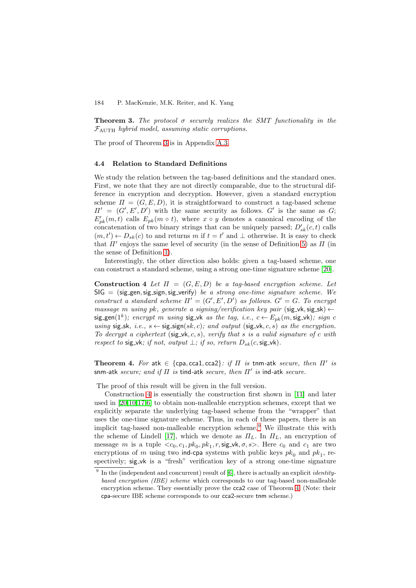<span id="page-13-0"></span>**Theorem 3.** *The protocol* σ *securely realizes the SMT functionality in the* FAUTH *hybrid model, assuming static corruptions.*

The proof of Theorem [3](#page-12-0) is in Appendix [A.3.](#page-17-0)

#### **4.4 Relation to Standard Definitions**

We study the relation between the tag-based definitions and the standard ones. First, we note that they are not directly comparable, due to the structural difference in encryption and decryption. However, given a standard encryption scheme  $\Pi = (G, E, D)$ , it is straightforward to construct a tag-based scheme  $\Pi' = (G', E', D')$  with the same security as follows. G' is the same as G;  $E'_{pk}(m, t)$  calls  $E_{pk}(m \circ t)$ , where  $x \circ y$  denotes a canonical encoding of the concatenation of two binary strings that can be uniquely parsed;  $D'_{sk}(c, t)$  calls  $(m, t') \leftarrow D_{sk}(c)$  to and returns m if  $t = t'$  and  $\perp$  otherwise. It is easy to check that  $\Pi'$  enjoys the same level of security (in the sense of Definition [5\)](#page-9-0) as  $\Pi$  (in the sense of Definition [1\)](#page-3-0).

Interestingly, the other direction also holds: given a tag-based scheme, one can construct a standard scheme, using a strong one-time signature scheme [\[20\]](#page-15-0).

**Construction 4** Let  $\Pi = (G, E, D)$  be a tag-based encryption scheme. Let SIG = (sig gen,sig sign,sig verify) *be a strong one-time signature scheme. We construct a standard scheme*  $\Pi' = (G', E', D')$  *as follows.*  $G' = G$ . To encrypt *massage* m *using* pk, generate a signing/verification key pair (sig\_vk, sig\_sk)  $\leftarrow$  $\sigma$ sig\_gen(1<sup>k</sup>); encrypt m using sig\_vk as the tag, i.e.,  $c \leftarrow E_{pk}(m, \text{sig_vk})$ ; sign c *using* sig\_sk, *i.e.*,  $s \leftarrow$  sig\_sign( $sk, c$ ); and output (sig\_vk,c,s) as the encryption. *To decrypt a ciphertext* ( $sig_v k, c, s$ ), verify that *s* is a valid signature of *c* with *respect to* sig\_vk; *if not, output*  $\perp$ ; *if so, return*  $D_{sk}(c, \text{sig\_vk})$ *.* 

**Theorem 4.** For atk  $\in$  {cpa, cca1, cca2}: if  $\Pi$  is tnm-atk *secure, then*  $\Pi'$  is  $s$ nm-atk  $\emph{secure};$   $\emph{and if}$   $\emph{II}$   $\emph{is}$  tind-atk  $\emph{secure}.$ 

The proof of this result will be given in the full version.

Construction 4 is essentially the construction first shown in [\[11\]](#page-15-0) and later used in [\[20,10,17,](#page-15-0)[6\]](#page-14-0) to obtain non-malleable encryption schemes, except that we explicitly separate the underlying tag-based scheme from the "wrapper" that uses the one-time signature scheme. Thus, in each of these papers, there is an implicit tag-based non-malleable encryption scheme.<sup>9</sup> We illustrate this with the scheme of Lindell [\[17\]](#page-15-0), which we denote as  $\Pi_L$ . In  $\Pi_L$ , an encryption of message m is a tuple  $\langle c_0, c_1, pk_0, pk_1, r, sig_vk, \sigma, s \rangle$ . Here  $c_0$  and  $c_1$  are two encryptions of m using two ind-cpa systems with public keys  $pk_0$  and  $pk_1$ , respectively; sig vk is a "fresh" verification key of a strong one-time signature

 $9\text{ In the (independent and concurrent) result of } [6]$  $9\text{ In the (independent and concurrent) result of } [6]$ , there is actually an explicit *identity*based encryption (IBE) scheme which corresponds to our tag-based non-malleable encryption scheme. They essentially prove the cca2 case of Theorem 4. (Note: their cpa-secure IBE scheme corresponds to our cca2-secure tnm scheme.)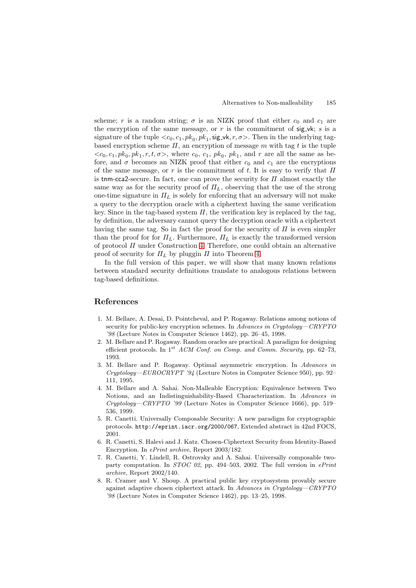<span id="page-14-0"></span>scheme; r is a random string;  $\sigma$  is an NIZK proof that either  $c_0$  and  $c_1$  are the encryption of the same message, or  $r$  is the commitment of sig\_vk;  $s$  is a signature of the tuple  $\langle c_0, c_1, p k_0, p k_1, \text{sig\_vk}, r, \sigma \rangle$ . Then in the underlying tagbased encryption scheme  $\Pi$ , an encryption of message m with tag t is the tuple  $\langle c_0, c_1, pk_0, pk_1, r, t, \sigma \rangle$ , where  $c_0, c_1, pk_0, pk_1$ , and r are all the same as before, and  $\sigma$  becomes an NIZK proof that either  $c_0$  and  $c_1$  are the encryptions of the same message, or r is the commitment of t. It is easy to verify that  $\Pi$ is the ccalar term of the can prove the security for  $\Pi$  almost exactly the same way as for the security proof of  $\Pi_L$ , observing that the use of the strong one-time signature in  $\Pi_L$  is solely for enforcing that an adversary will not make a query to the decryption oracle with a ciphertext having the same verification key. Since in the tag-based system  $\Pi$ , the verification key is replaced by the tag, by definition, the adversary cannot query the decryption oracle with a ciphertext having the same tag. So in fact the proof for the security of  $\Pi$  is even simpler than the proof for for  $\Pi_L$ . Furthermore,  $\Pi_L$  is exactly the transformed version of protocol  $\Pi$  under Construction [4.](#page-13-0) Therefore, one could obtain an alternative proof of security for  $\Pi_L$  by pluggin  $\Pi$  into Theorem [4.](#page-13-0)

In the full version of this paper, we will show that many known relations between standard security definitions translate to analogous relations between tag-based definitions.

### **References**

- 1. M. Bellare, A. Desai, D. Pointcheval, and P. Rogaway. Relations among notions of security for public-key encryption schemes. In Advances in Cryptology—CRYPTO '98 (Lecture Notes in Computer Science 1462), pp. 26–45, 1998.
- 2. M. Bellare and P. Rogaway. Random oracles are practical: A paradigm for designing efficient protocols. In  $1^{st}$  ACM Conf. on Comp. and Comm. Security, pp. 62–73, 1993.
- 3. M. Bellare and P. Rogaway. Optimal asymmetric encryption. In Advances in Cryptology—EUROCRYPT '94 (Lecture Notes in Computer Science 950), pp. 92– 111, 1995.
- 4. M. Bellare and A. Sahai. Non-Malleable Encryption: Equivalence between Two Notions, and an Indistinguishability-Based Characterization. In Advances in Cryptology—CRYPTO '99 (Lecture Notes in Computer Science 1666), pp. 519– 536, 1999.
- 5. R. Canetti. Universally Composable Security: A new paradigm for cryptographic protocols. http://eprint.iacr.org/2000/067, Extended abstract in 42nd FOCS, 2001.
- 6. R. Canetti, S. Halevi and J. Katz. Chosen-Ciphertext Security from Identity-Based Encryption. In ePrint archive, Report 2003/182.
- 7. R. Canetti, Y. Lindell, R. Ostrovsky and A. Sahai. Universally composable twoparty computation. In STOC 02, pp. 494–503, 2002. The full version in ePrint archive, Report 2002/140.
- 8. R. Cramer and V. Shoup. A practical public key cryptosystem provably secure against adaptive chosen ciphertext attack. In Advances in Cryptology—CRYPTO '98 (Lecture Notes in Computer Science 1462), pp. 13–25, 1998.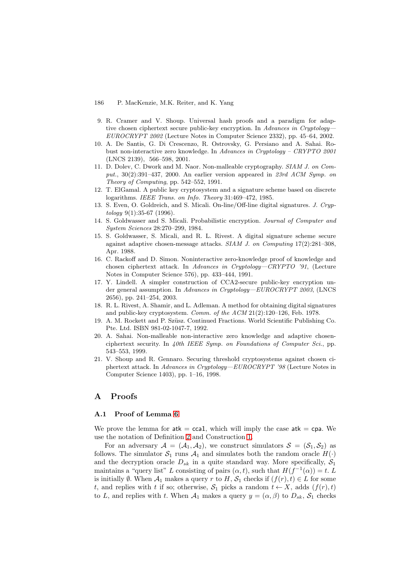- <span id="page-15-0"></span>9. R. Cramer and V. Shoup. Universal hash proofs and a paradigm for adaptive chosen ciphertext secure public-key encryption. In Advances in Cryptology— EUROCRYPT 2002 (Lecture Notes in Computer Science 2332), pp. 45–64, 2002.
- 10. A. De Santis, G. Di Crescenzo, R. Ostrovsky, G. Persiano and A. Sahai. Robust non-interactive zero knowledge. In Advances in Cryptology – CRYPTO 2001 (LNCS 2139), 566–598, 2001.
- 11. D. Dolev, C. Dwork and M. Naor. Non-malleable cryptography. SIAM J. on Comput.,  $30(2):391-437$ , 2000. An earlier version appeared in 23rd ACM Symp. on Theory of Computing, pp. 542–552, 1991.
- 12. T. ElGamal. A public key cryptosystem and a signature scheme based on discrete logarithms. IEEE Trans. on Info. Theory 31:469–472, 1985.
- 13. S. Even, O. Goldreich, and S. Micali. On-line/Off-line digital signatures. J. Cryp $tology \; 9(1):35-67 \; (1996).$
- 14. S. Goldwasser and S. Micali. Probabilistic encryption. Journal of Computer and System Sciences 28:270–299, 1984.
- 15. S. Goldwasser, S. Micali, and R. L. Rivest. A digital signature scheme secure against adaptive chosen-message attacks. SIAM J. on Computing 17(2):281–308, Apr. 1988.
- 16. C. Rackoff and D. Simon. Noninteractive zero-knowledge proof of knowledge and chosen ciphertext attack. In Advances in Cryptology—CRYPTO '91, (Lecture Notes in Computer Science 576), pp. 433–444, 1991.
- 17. Y. Lindell. A simpler construction of CCA2-secure public-key encryption under general assumption. In Advances in Cryptology—EUROCRYPT 2003, (LNCS 2656), pp. 241–254, 2003.
- 18. R. L. Rivest, A. Shamir, and L. Adleman. A method for obtaining digital signatures and public-key cryptosystem. Comm. of the ACM 21(2):120–126, Feb. 1978.
- 19. A. M. Rockett and P. Szüsz. Continued Fractions. World Scientific Publishing Co. Pte. Ltd. ISBN 981-02-1047-7, 1992.
- 20. A. Sahai. Non-malleable non-interactive zero knowledge and adaptive chosenciphertext security. In 40th IEEE Symp. on Foundations of Computer Sci., pp. 543–553, 1999.
- 21. V. Shoup and R. Gennaro. Securing threshold cryptosystems against chosen ciphertext attack. In Advances in Cryptology—EUROCRYPT '98 (Lecture Notes in Computer Science 1403), pp. 1–16, 1998.

# **A Proofs**

#### **A.1 Proof of Lemma [6](#page-6-0)**

We prove the lemma for  $atk = cca1$ , which will imply the case  $atk = cpa$ . We use the notation of Definition [2](#page-4-0) and Construction [1.](#page-6-0)

For an adversary  $A = (A_1, A_2)$ , we construct simulators  $S = (S_1, S_2)$  as follows. The simulator  $S_1$  runs  $A_1$  and simulates both the random oracle  $H(\cdot)$ and the decryption oracle  $D_{sk}$  in a quite standard way. More specifically,  $S_1$ maintains a "query list" L consisting of pairs  $(\alpha, t)$ , such that  $H(f^{-1}(\alpha)) = t$ . L is initially  $\emptyset$ . When  $\mathcal{A}_1$  makes a query r to H,  $\mathcal{S}_1$  checks if  $(f(r), t) \in L$  for some t, and replies with t if so; otherwise,  $S_1$  picks a random  $t \leftarrow X$ , adds  $(f(r), t)$ to L, and replies with t. When  $A_1$  makes a query  $y = (\alpha, \beta)$  to  $D_{sk}$ ,  $S_1$  checks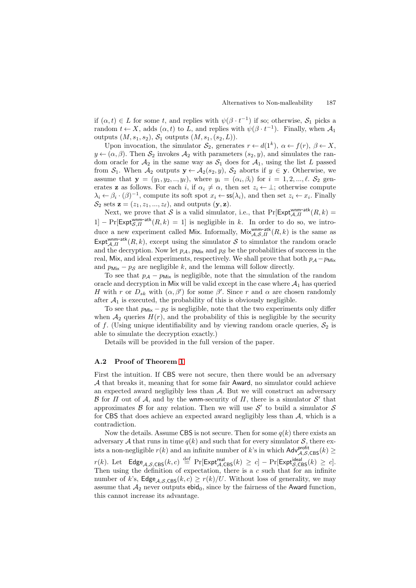<span id="page-16-0"></span>if  $(\alpha, t) \in L$  for some t, and replies with  $\psi(\beta \cdot t^{-1})$  if so; otherwise,  $S_1$  picks a random  $t \leftarrow X$ , adds  $(\alpha, t)$  to L, and replies with  $\psi(\beta \cdot t^{-1})$ . Finally, when  $\mathcal{A}_1$ outputs  $(M,s_1,s_2), \mathcal{S}_1$  outputs  $(M,s_1,(s_2,L)).$ 

Upon invocation, the simulator  $S_2$ , generates  $r \leftarrow d(1^k)$ ,  $\alpha \leftarrow f(r)$ ,  $\beta \leftarrow X$ ,  $y \leftarrow (\alpha, \beta)$ . Then  $S_2$  invokes  $A_2$  with parameters  $(s_2, y)$ , and simulates the random oracle for  $\mathcal{A}_2$  in the same way as  $\mathcal{S}_1$  does for  $\mathcal{A}_1$ , using the list L passed from  $S_1$ . When  $A_2$  outputs  $y \leftarrow A_2(s_2, y)$ ,  $S_2$  aborts if  $y \in y$ . Otherwise, we assume that **y** =  $(y_1, y_2, ..., y_\ell)$ , where  $y_i = (\alpha_i, \beta_i)$  for  $i = 1, 2, ..., \ell$ .  $S_2$  generates **z** as follows. For each i, if  $\alpha_i \neq \alpha$ , then set  $z_i \leftarrow \perp$ ; otherwise compute  $\lambda_i \leftarrow \beta_i \cdot (\beta)^{-1}$ , compute its soft spot  $x_i \leftarrow \textsf{ss}(\lambda_i)$ , and then set  $z_i \leftarrow x_i$ . Finally  $\mathcal{S}_2$  sets  $\mathbf{z} = (z_1, z_1, ..., z_\ell)$ , and outputs  $(\mathbf{y}, \mathbf{z})$ .

Next, we prove that S is a valid simulator, i.e., that  $\Pr[\mathsf{Expt}_{\mathcal{A},\Pi}^{\text{wnm-atk}}(R,k)$ 1]  $- \Pr[\mathsf{Expt}_{\mathcal{S},\Pi}^{\text{wnm-atk}}(R,k) = 1]$  is negligible in k. In order to do so, we introduce a new experiment called Mix. Informally,  $Mix_{\mathcal{A},\mathcal{S},\Pi}^{\text{num-atk}}(R,k)$  is the same as  $\textsf{Expt}^{\textsf{wnm-atk}}_{\mathcal{A},\Pi}(R,k)$ , except using the simulator S to simulator the random oracle and the decryption. Now let  $p_A$ ,  $p_{\text{Mix}}$  and  $p_S$  be the probabilities of success in the real, Mix, and ideal experiments, respectively. We shall prove that both  $p_A - p_{\text{Mix}}$ and  $p_{\text{Mix}} - p_{\mathcal{S}}$  are negligible k, and the lemma will follow directly.

To see that  $p_{\mathcal{A}} - p_{\mathsf{Mix}}$  is negligible, note that the simulation of the random oracle and decryption in Mix will be valid except in the case where  $A_1$  has queried H with r or  $D_{sk}$  with  $(\alpha, \beta')$  for some  $\beta'$ . Since r and  $\alpha$  are chosen randomly after  $A_1$  is executed, the probability of this is obviously negligible.

To see that  $p_{\text{Mix}} - p_{\mathcal{S}}$  is negligible, note that the two experiments only differ when  $\mathcal{A}_2$  queries  $H(r)$ , and the probability of this is negligible by the security of f. (Using unique identifiability and by viewing random oracle queries,  $S_2$  is able to simulate the decryption exactly.)

Details will be provided in the full version of the paper.

#### **A.2 Proof of Theorem [1](#page-8-0)**

First the intuition. If CBS were not secure, then there would be an adversary A that breaks it, meaning that for some fair Award, no simulator could achieve an expected award negligibly less than  $A$ . But we will construct an adversary B for  $\Pi$  out of A, and by the wnm-security of  $\Pi$ , there is a simulator  $\mathcal{S}'$  that approximates  $\beta$  for any relation. Then we will use  $\mathcal{S}'$  to build a simulator  $\mathcal S$ for CBS that does achieve an expected award negligibly less than  $A$ , which is a contradiction.

Now the details. Assume CBS is not secure. Then for some  $q(k)$  there exists an adversary A that runs in time  $q(k)$  and such that for every simulator S, there exists a non-negligible  $r(k)$  and an infinite number of k's in which  $\mathsf{Adv}_{\mathcal{A},\mathcal{S},\mathsf{CBS}}^{\mathsf{profit}}(k) \geq$  $r(k)$ . Let  $\textsf{Edge}_{\mathcal{A},\mathcal{S},\textsf{CBS}}(k,c) \stackrel{\text{def}}{=} \Pr[\textsf{Expt}_{\mathcal{A},\textsf{CBS}}^{\textsf{real}}(k) \geq c] - \Pr[\textsf{Expt}_{\mathcal{S},\textsf{CBS}}^{\textsf{ideal}}(k) \geq c].$ Then using the definition of expectation, there is a  $c$  such that for an infinite number of k's,  $\mathsf{Edge}_{\mathcal{A},\mathcal{S},\mathsf{CBS}}(k,c) \geq r(k)/U$ . Without loss of generality, we may assume that  $\mathcal{A}_2$  never outputs ebid<sub>0</sub>, since by the fairness of the Award function, this cannot increase its advantage.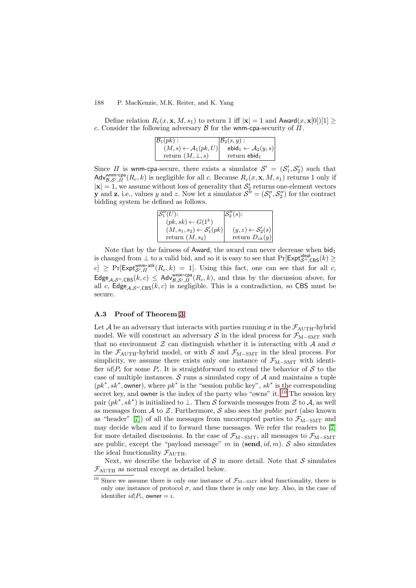<span id="page-17-0"></span>Define relation  $R_c(x, \mathbf{x}, M, s_1)$  to return 1 iff  $|\mathbf{x}| = 1$  and Award $(x, \mathbf{x}[0])[1] \ge$ c. Consider the following adversary  $\beta$  for the wnm-cpa-security of  $\Pi$ .

| $\mathcal{B}_1(pk)$ :                    | $\mathcal{B}_2(s,y)$ :                          |
|------------------------------------------|-------------------------------------------------|
| $(M, s) \leftarrow \mathcal{A}_1(pk, U)$ | $\mathsf{ebid}_1 \leftarrow \mathcal{A}_2(y,s)$ |
| return $(M, \perp, s)$                   | return $ebid_1$                                 |

Since  $\Pi$  is wnm-cpa-secure, there exists a simulator  $\mathcal{S}' = (\mathcal{S}'_1, \mathcal{S}'_2)$  such that Adv<sub>B,S',  $\Pi$ </sub> $(R_c, k)$  is negligible for all c. Because  $R_c(x, \mathbf{x}, M, s_1)$  returns 1 only if  $|\mathbf{x}| = 1$ , we assume without loss of generality that  $S'_{2}$  returns one-element vectors **y** and **z**, i.e., values y and z. Now let a simulator  $\mathcal{S}'' = (\mathcal{S}_1'', \mathcal{S}_2'')$  for the contract bidding system be defined as follows.

| $S_1''(U)$ :                        | $S_2''(s)$ :                |
|-------------------------------------|-----------------------------|
| $(pk, sk) \leftarrow G(1^k)$        |                             |
| $(M, s_1, s_2) \leftarrow S'_1(pk)$ | $(y, z) \leftarrow S'_2(s)$ |
| return $(M, s_2)$                   | return $D_{sk}(y)$          |

Note that by the fairness of Award, the award can never decrease when  $bid<sub>1</sub>$ is changed from  $\perp$  to a valid bid, and so it is easy to see that Pr[Expt<sup>ideal</sup>  $\geq$  $c \geq \Pr[\text{Expt}_{\mathcal{S}',\Pi}^{\text{wnm-atk}}(R_c, k) = 1].$  Using this fact, one can see that for all c,  $\textsf{Edge}_{A,S''\text{,CBS}}(k,c) \leq \textsf{Adv}_{B,S',H}^{\text{wnm-cpa}}(R_c, k)$ , and thus by the discussion above, for all c,  $\textsf{Edge}_{\mathcal{A},\mathcal{S}'',\mathsf{CBS}}(k,c)$  is negligible. This is a contradiction, so CBS must be secure.

#### **A.3 Proof of Theorem [3](#page-12-0)**

Let A be an adversary that interacts with parties running  $\sigma$  in the  $\mathcal{F}_{\text{AUTH}}$ -hybrid model. We will construct an adversary S in the ideal process for  $\mathcal{F}_{M-SMT}$  such that no environment  $\mathcal Z$  can distinguish whether it is interacting with  $\mathcal A$  and  $\sigma$ in the  $\mathcal{F}_{\text{AUTH}}$ -hybrid model, or with S and  $\mathcal{F}_{\text{M-SMT}}$  in the ideal process. For simplicity, we assume there exists only one instance of  $\mathcal{F}_{M-SMT}$  with identifier  $id|P_i$  for some  $P_i$ . It is straightforward to extend the behavior of S to the case of multiple instances.  $S$  runs a simulated copy of  $A$  and maintains a tuple  $(pk^*, sk^*,$  owner), where  $pk^*$  is the "session public key",  $sk^*$  is the corresponding secret key, and owner is the index of the party who "owns" it.  $^{10}$  The session key pair  $(pk^*, sk^*)$  is initialized to  $\perp$ . Then S forwards messages from Z to A, as well as messages from  $A$  to  $Z$ . Furthermore,  $S$  also sees the *public part* (also known as "header" [\[7\]](#page-14-0)) of all the messages from uncorrupted parties to  $\mathcal{F}_{M-SMT}$  and may decide when and if to forward these messages. We refer the readers to [\[7\]](#page-14-0) for more detailed discussions. In the case of  $\mathcal{F}_{M-SMT}$ , all messages to  $\mathcal{F}_{M-SMT}$ are public, except the "payload message" m in  $(\textbf{send}, id, m)$ .  $\mathcal{S}$  also simulates the ideal functionality  $\mathcal{F}_{\text{AUTH}}$ .

Next, we describe the behavior of  $S$  in more detail. Note that  $S$  simulates  $\mathcal{F}_{\text{AUTH}}$  as normal except as detailed below.

 $\frac{10}{10}$  Since we assume there is only one instance of  $\mathcal{F}_{M-SMT}$  ideal functionality, there is only one instance of protocol  $\sigma$ , and thus there is only one key. Also, in the case of identifier  $id|P_i$ , owner = i.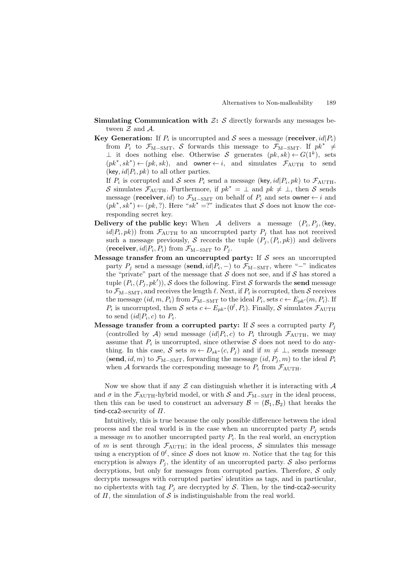- <span id="page-18-0"></span>**Simulating Communication with**  $\mathcal{Z}$ **:** S directly forwards any messages between  $\mathcal Z$  and  $\mathcal A$ .
- **Key Generation:** If  $P_i$  is uncorrupted and S sees a message (**receiver**,  $id|P_i$ ) from  $P_i$  to  $\mathcal{F}_{M-SMT}$ , S forwards this message to  $\mathcal{F}_{M-SMT}$ . If  $pk^* \neq$ ⊥ it does nothing else. Otherwise S generates  $(pk, sk) \leftarrow G(1<sup>k</sup>)$ , sets  $(pk^*, sk^*) \leftarrow (pk, sk)$ , and owner  $\leftarrow i$ , and simulates  $\mathcal{F}_{\text{AUTH}}$  to send (key,  $id|P_i, pk$ ) to all other parties.

If  $P_i$  is corrupted and S sees  $P_i$  send a message (key,  $id|P_i, pk$ ) to  $\mathcal{F}_{\text{AUTH}}$ , S simulates  $\mathcal{F}_{\text{AUTH}}$ . Furthermore, if  $pk^* = \perp$  and  $pk \neq \perp$ , then S sends message (**receiver**, *id*) to  $\mathcal{F}_{M-SMT}$  on behalf of  $P_i$  and sets owner  $\leftarrow i$  and  $(pk^*, sk^*) \leftarrow (pk, ?)$ . Here " $sk^* = ?$ " indicates that S does not know the corresponding secret key.

- **Delivery of the public key:** When  $\mathcal A$  delivers a message  $(P_i, P_j,$  (key,  $id(P_i, pk)$  from  $\mathcal{F}_{\text{AUTH}}$  to an uncorrupted party  $P_j$  that has not received such a message previously, S records the tuple  $(P_i, (P_i, pk))$  and delivers (**receiver**,  $id|P_i, P_i$ ) from  $\mathcal{F}_{M-SMT}$  to  $P_i$ .
- **Message transfer from an uncorrupted party:** If  $S$  sees an uncorrupted party  $P_j$  send a message (**send**,  $id|P_i$ , –) to  $\mathcal{F}_{M-SMT}$ , where "-" indicates the "private" part of the message that  $S$  does not see, and if  $S$  has stored a tuple  $(P_i, (P_j, pk'))$ , S does the following. First S forwards the **send** message to  $\mathcal{F}_{M-SMT}$ , and receives the length  $\ell$ . Next, if  $P_i$  is corrupted, then  $\mathcal S$  receives the message  $(id, m, P_i)$  from  $\mathcal{F}_{M-SMT}$  to the ideal  $P_i$ , sets  $c \leftarrow E_{pk'}(m, P_i)$ . If  $P_i$  is uncorrupted, then S sets  $c \leftarrow E_{pk^*}(0^l, P_i)$ . Finally, S simulates  $\mathcal{F}_{\text{AUTH}}$ to send  $(id|P_i, c)$  to  $P_i$ .
- **Message transfer from a corrupted party:** If S sees a corrupted party  $P_j$ (controlled by A) send message  $(id|P_i, c)$  to  $P_i$  through  $\mathcal{F}_{\text{AUTH}}$ , we may assume that  $P_i$  is uncorrupted, since otherwise S does not need to do anything. In this case, S sets  $m \leftarrow D_{sk^*}(c, P_i)$  and if  $m \neq \perp$ , sends message (**send**, id, m) to  $\mathcal{F}_{M-SMT}$ , forwarding the message  $(id, P_i, m)$  to the ideal  $P_i$ when A forwards the corresponding message to  $P_i$  from  $\mathcal{F}_{\text{AUTH}}$ .

Now we show that if any  $\mathcal Z$  can distinguish whether it is interacting with  $\mathcal A$ and  $\sigma$  in the  $\mathcal{F}_{\text{AUTH}}$ -hybrid model, or with S and  $\mathcal{F}_{\text{M-SMT}}$  in the ideal process, then this can be used to construct an adversary  $\mathcal{B} = (\mathcal{B}_1, \mathcal{B}_2)$  that breaks the tind-cca2-security of  $\Pi$ .

Intuitively, this is true because the only possible difference between the ideal process and the real world is in the case when an uncorrupted party  $P_i$  sends a message  $m$  to another uncorrupted party  $P_i$ . In the real world, an encryption of m is sent through  $\mathcal{F}_{\text{AUTH}}$ ; in the ideal process, S simulates this message using a encryption of  $0^{\ell}$ , since S does not know m. Notice that the tag for this encryption is always  $P_j$ , the identity of an uncorrupted party. S also performs decryptions, but only for messages from corrupted parties. Therefore, S only decrypts messages with corrupted parties' identities as tags, and in particular, no ciphertexts with tag  $P_i$  are decrypted by S. Then, by the tind-cca2-security of  $\Pi$ , the simulation of  $S$  is indistinguishable from the real world.